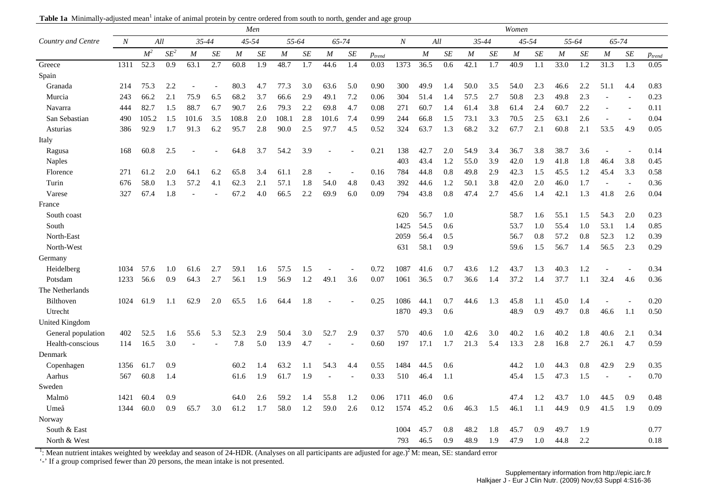| Table 1a Minimally-adjusted mean <sup>1</sup> intake of animal protein by centre ordered from south to north, gender and age group |  |  |  |  |
|------------------------------------------------------------------------------------------------------------------------------------|--|--|--|--|
|------------------------------------------------------------------------------------------------------------------------------------|--|--|--|--|

|                    |                  |                   |        |           |     |                  | Men              |                  |                  |                  |           |             |                  |      |     |       |     | Women            |           |                  |                  |                  |                  |             |
|--------------------|------------------|-------------------|--------|-----------|-----|------------------|------------------|------------------|------------------|------------------|-----------|-------------|------------------|------|-----|-------|-----|------------------|-----------|------------------|------------------|------------------|------------------|-------------|
| Country and Centre | $\boldsymbol{N}$ | All               |        | $35 - 44$ |     | 45-54            |                  | 55-64            |                  | 65-74            |           |             | $\boldsymbol{N}$ |      | All | 35-44 |     | 45-54            |           | 55-64            |                  | 65-74            |                  |             |
|                    |                  | M <sup>2</sup>    | $SE^2$ | M         | SE  | $\boldsymbol{M}$ | SE               | $\boldsymbol{M}$ | SE               | $\boldsymbol{M}$ | $\cal SE$ | $p_{trend}$ |                  | M    | SE  | M     | SE  | $\boldsymbol{M}$ | $\cal SE$ | $\boldsymbol{M}$ | SE               | $\boldsymbol{M}$ | $\cal SE$        | $p_{trend}$ |
| Greece             | 1311             | $\overline{52.3}$ | 0.9    | 63.1      | 2.7 | 60.8             | $\overline{1.9}$ | 48.7             | $\overline{1.7}$ | 44.6             | 1.4       | 0.03        | 1373             | 36.5 | 0.6 | 42.1  | 1.7 | 40.9             | 1.1       | 33.0             | $\overline{1.2}$ | 31.3             | $\overline{1.3}$ | 0.05        |
| Spain              |                  |                   |        |           |     |                  |                  |                  |                  |                  |           |             |                  |      |     |       |     |                  |           |                  |                  |                  |                  |             |
| Granada            | 214              | 75.3              | 2.2    |           |     | 80.3             | 4.7              | 77.3             | 3.0              | 63.6             | 5.0       | 0.90        | 300              | 49.9 | 1.4 | 50.0  | 3.5 | 54.0             | 2.3       | 46.6             | 2.2              | 51.1             | 4.4              | 0.83        |
| Murcia             | 243              | 66.2              | 2.1    | 75.9      | 6.5 | 68.2             | 3.7              | 66.6             | 2.9              | 49.1             | 7.2       | 0.06        | 304              | 51.4 | 1.4 | 57.5  | 2.7 | 50.8             | 2.3       | 49.8             | 2.3              |                  |                  | 0.23        |
| Navarra            | 444              | 82.7              | 1.5    | 88.7      | 6.7 | 90.7             | 2.6              | 79.3             | 2.2              | 69.8             | 4.7       | 0.08        | 271              | 60.7 | 1.4 | 61.4  | 3.8 | 61.4             | 2.4       | 60.7             | 2.2              |                  |                  | 0.11        |
| San Sebastian      | 490              | 105.2             | 1.5    | 101.6     | 3.5 | 108.8            | 2.0              | 108.1            | 2.8              | 101.6            | 7.4       | 0.99        | 244              | 66.8 | 1.5 | 73.1  | 3.3 | 70.5             | 2.5       | 63.1             | 2.6              |                  |                  | 0.04        |
| Asturias           | 386              | 92.9              | 1.7    | 91.3      | 6.2 | 95.7             | 2.8              | 90.0             | 2.5              | 97.7             | 4.5       | 0.52        | 324              | 63.7 | 1.3 | 68.2  | 3.2 | 67.7             | 2.1       | 60.8             | 2.1              | 53.5             | 4.9              | 0.05        |
| Italy              |                  |                   |        |           |     |                  |                  |                  |                  |                  |           |             |                  |      |     |       |     |                  |           |                  |                  |                  |                  |             |
| Ragusa             | 168              | 60.8              | 2.5    |           |     | 64.8             | 3.7              | 54.2             | 3.9              |                  |           | 0.21        | 138              | 42.7 | 2.0 | 54.9  | 3.4 | 36.7             | 3.8       | 38.7             | 3.6              |                  |                  | 0.14        |
| <b>Naples</b>      |                  |                   |        |           |     |                  |                  |                  |                  |                  |           |             | 403              | 43.4 | 1.2 | 55.0  | 3.9 | 42.0             | 1.9       | 41.8             | 1.8              | 46.4             | 3.8              | 0.45        |
| Florence           | 271              | 61.2              | 2.0    | 64.1      | 6.2 | 65.8             | 3.4              | 61.1             | 2.8              |                  |           | 0.16        | 784              | 44.8 | 0.8 | 49.8  | 2.9 | 42.3             | 1.5       | 45.5             | 1.2              | 45.4             | 3.3              | 0.58        |
| Turin              | 676              | 58.0              | 1.3    | 57.2      | 4.1 | 62.3             | 2.1              | 57.1             | 1.8              | 54.0             | 4.8       | 0.43        | 392              | 44.6 | 1.2 | 50.1  | 3.8 | 42.0             | 2.0       | 46.0             | 1.7              |                  |                  | 0.36        |
| Varese             | 327              | 67.4              | 1.8    |           |     | 67.2             | 4.0              | 66.5             | 2.2              | 69.9             | 6.0       | 0.09        | 794              | 43.8 | 0.8 | 47.4  | 2.7 | 45.6             | 1.4       | 42.1             | 1.3              | 41.8             | 2.6              | 0.04        |
| France             |                  |                   |        |           |     |                  |                  |                  |                  |                  |           |             |                  |      |     |       |     |                  |           |                  |                  |                  |                  |             |
| South coast        |                  |                   |        |           |     |                  |                  |                  |                  |                  |           |             | 620              | 56.7 | 1.0 |       |     | 58.7             | 1.6       | 55.1             | 1.5              | 54.3             | 2.0              | 0.23        |
| South              |                  |                   |        |           |     |                  |                  |                  |                  |                  |           |             | 1425             | 54.5 | 0.6 |       |     | 53.7             | 1.0       | 55.4             | 1.0              | 53.1             | 1.4              | 0.85        |
| North-East         |                  |                   |        |           |     |                  |                  |                  |                  |                  |           |             | 2059             | 56.4 | 0.5 |       |     | 56.7             | 0.8       | 57.2             | 0.8              | 52.3             | 1.2              | 0.39        |
| North-West         |                  |                   |        |           |     |                  |                  |                  |                  |                  |           |             | 631              | 58.1 | 0.9 |       |     | 59.6             | 1.5       | 56.7             | 1.4              | 56.5             | 2.3              | 0.29        |
| Germany            |                  |                   |        |           |     |                  |                  |                  |                  |                  |           |             |                  |      |     |       |     |                  |           |                  |                  |                  |                  |             |
| Heidelberg         | 1034             | 57.6              | 1.0    | 61.6      | 2.7 | 59.1             | 1.6              | 57.5             | 1.5              |                  |           | 0.72        | 1087             | 41.6 | 0.7 | 43.6  | 1.2 | 43.7             | 1.3       | 40.3             | 1.2              |                  |                  | 0.34        |
| Potsdam            | 1233             | 56.6              | 0.9    | 64.3      | 2.7 | 56.1             | 1.9              | 56.9             | 1.2              | 49.1             | 3.6       | 0.07        | 1061             | 36.5 | 0.7 | 36.6  | 1.4 | 37.2             | 1.4       | 37.7             | 1.1              | 32.4             | 4.6              | 0.36        |
| The Netherlands    |                  |                   |        |           |     |                  |                  |                  |                  |                  |           |             |                  |      |     |       |     |                  |           |                  |                  |                  |                  |             |
| Bilthoven          | 1024             | 61.9              | 1.1    | 62.9      | 2.0 | 65.5             | 1.6              | 64.4             | 1.8              |                  |           | 0.25        | 1086             | 44.1 | 0.7 | 44.6  | 1.3 | 45.8             | 1.1       | 45.0             | 1.4              |                  |                  | 0.20        |
| Utrecht            |                  |                   |        |           |     |                  |                  |                  |                  |                  |           |             | 1870             | 49.3 | 0.6 |       |     | 48.9             | 0.9       | 49.7             | 0.8              | 46.6             | 1.1              | 0.50        |
| United Kingdom     |                  |                   |        |           |     |                  |                  |                  |                  |                  |           |             |                  |      |     |       |     |                  |           |                  |                  |                  |                  |             |
| General population | 402              | 52.5              | 1.6    | 55.6      | 5.3 | 52.3             | 2.9              | 50.4             | 3.0              | 52.7             | 2.9       | 0.37        | 570              | 40.6 | 1.0 | 42.6  | 3.0 | 40.2             | 1.6       | 40.2             | 1.8              | 40.6             | 2.1              | 0.34        |
| Health-conscious   | 114              | 16.5              | 3.0    |           |     | 7.8              | 5.0              | 13.9             | 4.7              |                  |           | 0.60        | 197              | 17.1 | 1.7 | 21.3  | 5.4 | 13.3             | 2.8       | 16.8             | 2.7              | 26.1             | 4.7              | 0.59        |
| Denmark            |                  |                   |        |           |     |                  |                  |                  |                  |                  |           |             |                  |      |     |       |     |                  |           |                  |                  |                  |                  |             |
| Copenhagen         | 1356             | 61.7              | 0.9    |           |     | 60.2             | 1.4              | 63.2             | 1.1              | 54.3             | 4.4       | 0.55        | 1484             | 44.5 | 0.6 |       |     | 44.2             | 1.0       | 44.3             | 0.8              | 42.9             | 2.9              | 0.35        |
| Aarhus             | 567              | 60.8              | 1.4    |           |     | 61.6             | 1.9              | 61.7             | 1.9              |                  |           | 0.33        | 510              | 46.4 | 1.1 |       |     | 45.4             | 1.5       | 47.3             | 1.5              |                  |                  | 0.70        |
| Sweden             |                  |                   |        |           |     |                  |                  |                  |                  |                  |           |             |                  |      |     |       |     |                  |           |                  |                  |                  |                  |             |
| Malmö              | 1421             | 60.4              | 0.9    |           |     | 64.0             | 2.6              | 59.2             | 1.4              | 55.8             | 1.2       | 0.06        | 1711             | 46.0 | 0.6 |       |     | 47.4             | 1.2       | 43.7             | 1.0              | 44.5             | 0.9              | 0.48        |
| Umeå               | 1344             | 60.0              | 0.9    | 65.7      | 3.0 | 61.2             | 1.7              | 58.0             | 1.2              | 59.0             | 2.6       | 0.12        | 1574             | 45.2 | 0.6 | 46.3  | 1.5 | 46.1             | 1.1       | 44.9             | 0.9              | 41.5             | 1.9              | 0.09        |
| Norway             |                  |                   |        |           |     |                  |                  |                  |                  |                  |           |             |                  |      |     |       |     |                  |           |                  |                  |                  |                  |             |
| South & East       |                  |                   |        |           |     |                  |                  |                  |                  |                  |           |             | 1004             | 45.7 | 0.8 | 48.2  | 1.8 | 45.7             | 0.9       | 49.7             | 1.9              |                  |                  | 0.77        |
| North & West       |                  |                   |        |           |     |                  |                  |                  |                  |                  |           |             | 793              | 46.5 | 0.9 | 48.9  | 1.9 | 47.9             | 1.0       | 44.8             | 2.2              |                  |                  | 0.18        |

<sup>1</sup>: Mean nutrient intakes weighted by weekday and season of 24-HDR. (Analyses on all participants are adjusted for age.)<sup>2</sup> M: mean, SE: standard error

'-' If a group comprised fewer than 20 persons, the mean intake is not presented.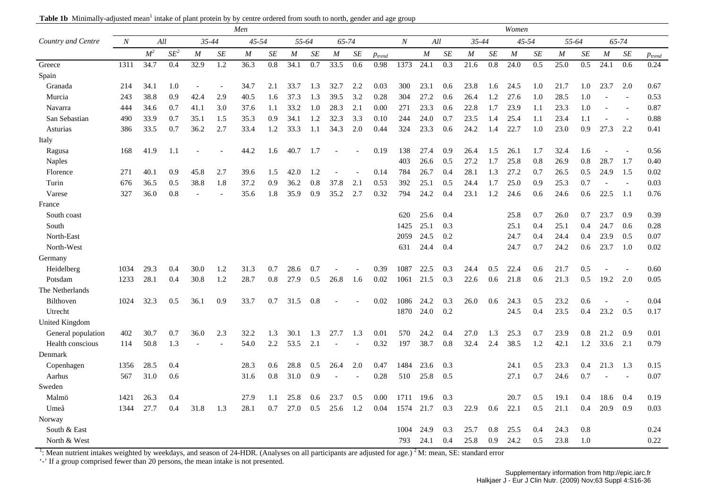| Table 1b Minimally-adjusted mean <sup>1</sup> intake of plant protein by by centre ordered from south to north, gender and age group |  |  |  |
|--------------------------------------------------------------------------------------------------------------------------------------|--|--|--|
|--------------------------------------------------------------------------------------------------------------------------------------|--|--|--|

|                       |                  |                |        |                |                  | Men   |     |                  |     |                  |                      |             |                  |      |     |                  |                  | Women             |           |       |           |                   |                      |             |
|-----------------------|------------------|----------------|--------|----------------|------------------|-------|-----|------------------|-----|------------------|----------------------|-------------|------------------|------|-----|------------------|------------------|-------------------|-----------|-------|-----------|-------------------|----------------------|-------------|
| Country and Centre    | $\boldsymbol{N}$ | All            |        | 35-44          |                  | 45-54 |     | 55-64            |     | 65-74            |                      |             | $\boldsymbol{N}$ | All  |     | 35-44            |                  | $45 - 54$         |           | 55-64 |           |                   | 65-74                |             |
|                       |                  | M <sup>2</sup> | $SE^2$ | $\overline{M}$ | SE               | M     | SE  | $\boldsymbol{M}$ | SE  | $\boldsymbol{M}$ | $S\hspace{-0.08em}E$ | $p_{trend}$ |                  | M    | SE  | $\boldsymbol{M}$ | SE               | $\boldsymbol{M}$  | $\cal SE$ | M     | $\cal SE$ | $\boldsymbol{M}$  | $S\hspace{-0.08em}E$ | $p_{trend}$ |
| Greece                | 1311             | 34.7           | 0.4    | 32.9           | $\overline{1.2}$ | 36.3  | 0.8 | 34.1             | 0.7 | 33.5             | 0.6                  | 0.98        | 1373             | 24.1 | 0.3 | 21.6             | $\overline{0.8}$ | $\overline{24.0}$ | 0.5       | 25.0  | 0.5       | $\overline{24.1}$ | 0.6                  | 0.24        |
| Spain                 |                  |                |        |                |                  |       |     |                  |     |                  |                      |             |                  |      |     |                  |                  |                   |           |       |           |                   |                      |             |
| Granada               | 214              | 34.1           | 1.0    |                |                  | 34.7  | 2.1 | 33.7             | 1.3 | 32.7             | 2.2                  | 0.03        | 300              | 23.1 | 0.6 | 23.8             | 1.6              | 24.5              | 1.0       | 21.7  | 1.0       | 23.7              | 2.0                  | 0.67        |
| Murcia                | 243              | 38.8           | 0.9    | 42.4           | 2.9              | 40.5  | 1.6 | 37.3             | 1.3 | 39.5             | 3.2                  | 0.28        | 304              | 27.2 | 0.6 | 26.4             | 1.2              | 27.6              | 1.0       | 28.5  | 1.0       |                   |                      | 0.53        |
| Navarra               | 444              | 34.6           | 0.7    | 41.1           | 3.0              | 37.6  | 1.1 | 33.2             | 1.0 | 28.3             | 2.1                  | 0.00        | 271              | 23.3 | 0.6 | 22.8             | 1.7              | 23.9              | 1.1       | 23.3  | 1.0       |                   |                      | 0.87        |
| San Sebastian         | 490              | 33.9           | 0.7    | 35.1           | 1.5              | 35.3  | 0.9 | 34.1             | 1.2 | 32.3             | 3.3                  | 0.10        | 244              | 24.0 | 0.7 | 23.5             | 1.4              | 25.4              | 1.1       | 23.4  | 1.1       | $\overline{a}$    |                      | 0.88        |
| Asturias              | 386              | 33.5           | 0.7    | 36.2           | 2.7              | 33.4  | 1.2 | 33.3             | 1.1 | 34.3             | 2.0                  | 0.44        | 324              | 23.3 | 0.6 | 24.2             | 1.4              | 22.7              | 1.0       | 23.0  | 0.9       | 27.3              | 2.2                  | 0.41        |
| Italy                 |                  |                |        |                |                  |       |     |                  |     |                  |                      |             |                  |      |     |                  |                  |                   |           |       |           |                   |                      |             |
| Ragusa                | 168              | 41.9           | 1.1    |                |                  | 44.2  | 1.6 | 40.7             | 1.7 |                  |                      | 0.19        | 138              | 27.4 | 0.9 | 26.4             | 1.5              | 26.1              | 1.7       | 32.4  | 1.6       |                   |                      | 0.56        |
| <b>Naples</b>         |                  |                |        |                |                  |       |     |                  |     |                  |                      |             | 403              | 26.6 | 0.5 | 27.2             | 1.7              | 25.8              | 0.8       | 26.9  | 0.8       | 28.7              | 1.7                  | 0.40        |
| Florence              | 271              | 40.1           | 0.9    | 45.8           | 2.7              | 39.6  | 1.5 | 42.0             | 1.2 |                  |                      | 0.14        | 784              | 26.7 | 0.4 | 28.1             | 1.3              | 27.2              | 0.7       | 26.5  | 0.5       | 24.9              | 1.5                  | 0.02        |
| Turin                 | 676              | 36.5           | 0.5    | 38.8           | 1.8              | 37.2  | 0.9 | 36.2             | 0.8 | 37.8             | 2.1                  | 0.53        | 392              | 25.1 | 0.5 | 24.4             | 1.7              | 25.0              | 0.9       | 25.3  | 0.7       |                   |                      | 0.03        |
| Varese                | 327              | 36.0           | 0.8    |                |                  | 35.6  | 1.8 | 35.9             | 0.9 | 35.2             | 2.7                  | 0.32        | 794              | 24.2 | 0.4 | 23.1             | 1.2              | 24.6              | 0.6       | 24.6  | 0.6       | 22.5              | -1.1                 | 0.76        |
| France                |                  |                |        |                |                  |       |     |                  |     |                  |                      |             |                  |      |     |                  |                  |                   |           |       |           |                   |                      |             |
| South coast           |                  |                |        |                |                  |       |     |                  |     |                  |                      |             | 620              | 25.6 | 0.4 |                  |                  | 25.8              | 0.7       | 26.0  | 0.7       | 23.7              | 0.9                  | 0.39        |
| South                 |                  |                |        |                |                  |       |     |                  |     |                  |                      |             | 1425             | 25.1 | 0.3 |                  |                  | 25.1              | 0.4       | 25.1  | 0.4       | 24.7              | 0.6                  | 0.28        |
| North-East            |                  |                |        |                |                  |       |     |                  |     |                  |                      |             | 2059             | 24.5 | 0.2 |                  |                  | 24.7              | 0.4       | 24.4  | 0.4       | 23.9              | 0.5                  | 0.07        |
| North-West            |                  |                |        |                |                  |       |     |                  |     |                  |                      |             | 631              | 24.4 | 0.4 |                  |                  | 24.7              | 0.7       | 24.2  | 0.6       | 23.7              | 1.0                  | 0.02        |
| Germany               |                  |                |        |                |                  |       |     |                  |     |                  |                      |             |                  |      |     |                  |                  |                   |           |       |           |                   |                      |             |
| Heidelberg            | 1034             | 29.3           | 0.4    | 30.0           | 1.2              | 31.3  | 0.7 | 28.6             | 0.7 |                  |                      | 0.39        | 1087             | 22.5 | 0.3 | 24.4             | 0.5              | 22.4              | 0.6       | 21.7  | 0.5       |                   |                      | 0.60        |
| Potsdam               | 1233             | 28.1           | 0.4    | 30.8           | 1.2              | 28.7  | 0.8 | 27.9             | 0.5 | 26.8             | 1.6                  | 0.02        | 1061             | 21.5 | 0.3 | 22.6             | 0.6              | 21.8              | 0.6       | 21.3  | 0.5       | 19.2              | 2.0                  | 0.05        |
| The Netherlands       |                  |                |        |                |                  |       |     |                  |     |                  |                      |             |                  |      |     |                  |                  |                   |           |       |           |                   |                      |             |
| Bilthoven             | 1024             | 32.3           | 0.5    | 36.1           | 0.9              | 33.7  | 0.7 | 31.5             | 0.8 |                  |                      | 0.02        | 1086             | 24.2 | 0.3 | 26.0             | 0.6              | 24.3              | 0.5       | 23.2  | 0.6       |                   |                      | 0.04        |
| Utrecht               |                  |                |        |                |                  |       |     |                  |     |                  |                      |             | 1870             | 24.0 | 0.2 |                  |                  | 24.5              | 0.4       | 23.5  | 0.4       | 23.2              | 0.5                  | 0.17        |
| <b>United Kingdom</b> |                  |                |        |                |                  |       |     |                  |     |                  |                      |             |                  |      |     |                  |                  |                   |           |       |           |                   |                      |             |
| General population    | 402              | 30.7           | 0.7    | 36.0           | 2.3              | 32.2  | 1.3 | 30.1             | 1.3 | 27.7             | 1.3                  | 0.01        | 570              | 24.2 | 0.4 | 27.0             | 1.3              | 25.3              | 0.7       | 23.9  | 0.8       | 21.2              | 0.9                  | 0.01        |
| Health conscious      | 114              | 50.8           | 1.3    |                |                  | 54.0  | 2.2 | 53.5             | 2.1 |                  |                      | 0.32        | 197              | 38.7 | 0.8 | 32.4             | 2.4              | 38.5              | 1.2       | 42.1  | 1.2       | 33.6              | 2.1                  | 0.79        |
| Denmark               |                  |                |        |                |                  |       |     |                  |     |                  |                      |             |                  |      |     |                  |                  |                   |           |       |           |                   |                      |             |
| Copenhagen            | 1356             | 28.5           | 0.4    |                |                  | 28.3  | 0.6 | 28.8             | 0.5 | 26.4             | 2.0                  | 0.47        | 1484             | 23.6 | 0.3 |                  |                  | 24.1              | 0.5       | 23.3  | 0.4       | 21.3              | 1.3                  | 0.15        |
| Aarhus                | 567              | 31.0           | 0.6    |                |                  | 31.6  | 0.8 | 31.0             | 0.9 |                  |                      | 0.28        | 510              | 25.8 | 0.5 |                  |                  | 27.1              | 0.7       | 24.6  | 0.7       |                   |                      | 0.07        |
| Sweden                |                  |                |        |                |                  |       |     |                  |     |                  |                      |             |                  |      |     |                  |                  |                   |           |       |           |                   |                      |             |
| Malmö                 | 1421             | 26.3           | 0.4    |                |                  | 27.9  | 1.1 | 25.8             | 0.6 | 23.7             | 0.5                  | 0.00        | 1711             | 19.6 | 0.3 |                  |                  | 20.7              | 0.5       | 19.1  | 0.4       | 18.6              | 0.4                  | 0.19        |
| Umeå                  | 1344             | 27.7           | 0.4    | 31.8           | 1.3              | 28.1  | 0.7 | 27.0             | 0.5 | 25.6             | 1.2                  | 0.04        | 1574             | 21.7 | 0.3 | 22.9             | 0.6              | 22.1              | 0.5       | 21.1  | 0.4       | 20.9              | 0.9                  | 0.03        |
| Norway                |                  |                |        |                |                  |       |     |                  |     |                  |                      |             |                  |      |     |                  |                  |                   |           |       |           |                   |                      |             |
| South & East          |                  |                |        |                |                  |       |     |                  |     |                  |                      |             | 1004             | 24.9 | 0.3 | 25.7             | 0.8              | 25.5              | 0.4       | 24.3  | 0.8       |                   |                      | 0.24        |
| North & West          |                  |                |        |                |                  |       |     |                  |     |                  |                      |             | 793              | 24.1 | 0.4 | 25.8             | 0.9              | 24.2              | 0.5       | 23.8  | 1.0       |                   |                      | 0.22        |

<sup>1</sup>: Mean nutrient intakes weighted by weekdays, and season of 24-HDR. (Analyses on all participants are adjusted for age.) <sup>2</sup>M: mean, SE: standard error

'-' If a group comprised fewer than 20 persons, the mean intake is not presented.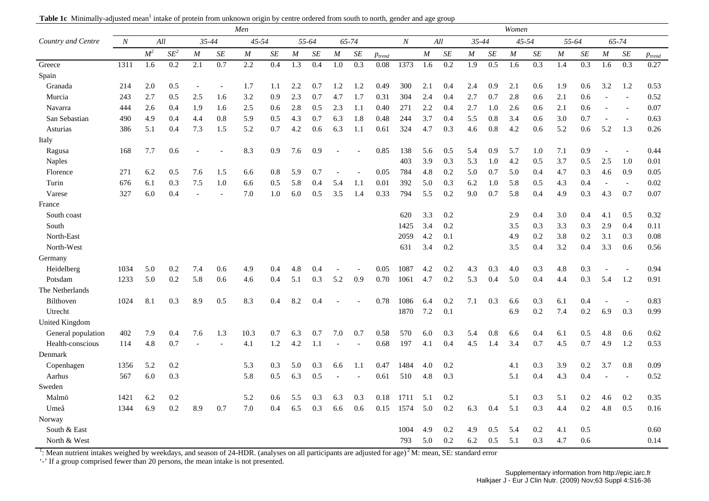| Table 1c Minimally-adjusted mean <sup>1</sup> intake of protein from unknown origin by centre ordered from south to north, gender and age group |  |  |  |
|-------------------------------------------------------------------------------------------------------------------------------------------------|--|--|--|
|                                                                                                                                                 |  |  |  |

|                       |                  |                |                  |                  |           | Men   |     |                  |                  |                  |                      |             |                  |          |                      |                  |     | Women            |                  |          |           |                |                  |             |
|-----------------------|------------------|----------------|------------------|------------------|-----------|-------|-----|------------------|------------------|------------------|----------------------|-------------|------------------|----------|----------------------|------------------|-----|------------------|------------------|----------|-----------|----------------|------------------|-------------|
| Country and Centre    | $\boldsymbol{N}$ | All            |                  | $35 - 44$        |           | 45-54 |     |                  | 55-64            |                  | 65-74                |             | $\boldsymbol{N}$ |          | All                  | 35-44            |     |                  | 45-54            | 55-64    |           |                | 65-74            |             |
|                       |                  | M <sup>2</sup> | $SE^2$           | $\boldsymbol{M}$ | $\cal SE$ | M     | SE  | $\cal M$         | SE               | $\boldsymbol{M}$ | $S\hspace{-0.08em}E$ | $p_{trend}$ |                  | $\cal M$ | $S\hspace{-0.08em}E$ | $\boldsymbol{M}$ | SE  | $\boldsymbol{M}$ | $\cal SE$        | $\cal M$ | $\cal SE$ | $\cal M$       | SE               | $p_{trend}$ |
| Greece                | 1311             | 1.6            | $\overline{0.2}$ | $\overline{2.1}$ | 0.7       | 2.2   | 0.4 | $\overline{1.3}$ | $\overline{0.4}$ | $\overline{1.0}$ | $\overline{0.3}$     | 0.08        | 1373             | 1.6      | $\overline{0.2}$     | $\overline{1.9}$ | 0.5 | 1.6              | $\overline{0.3}$ | 1.4      | 0.3       | 1.6            | $\overline{0.3}$ | 0.27        |
| Spain                 |                  |                |                  |                  |           |       |     |                  |                  |                  |                      |             |                  |          |                      |                  |     |                  |                  |          |           |                |                  |             |
| Granada               | 214              | 2.0            | 0.5              | $\overline{a}$   |           | 1.7   | 1.1 | 2.2              | 0.7              | 1.2              | 1.2                  | 0.49        | 300              | 2.1      | 0.4                  | 2.4              | 0.9 | 2.1              | 0.6              | 1.9      | 0.6       | 3.2            | 1.2              | 0.53        |
| Murcia                | 243              | 2.7            | 0.5              | 2.5              | 1.6       | 3.2   | 0.9 | 2.3              | 0.7              | 4.7              | 1.7                  | 0.31        | 304              | 2.4      | 0.4                  | 2.7              | 0.7 | 2.8              | 0.6              | 2.1      | 0.6       | $\overline{a}$ |                  | 0.52        |
| Navarra               | 444              | 2.6            | 0.4              | 1.9              | 1.6       | 2.5   | 0.6 | 2.8              | 0.5              | 2.3              | 1.1                  | 0.40        | 271              | 2.2      | 0.4                  | 2.7              | 1.0 | 2.6              | 0.6              | 2.1      | 0.6       | $\overline{a}$ |                  | 0.07        |
| San Sebastian         | 490              | 4.9            | 0.4              | 4.4              | 0.8       | 5.9   | 0.5 | 4.3              | 0.7              | 6.3              | 1.8                  | 0.48        | 244              | 3.7      | 0.4                  | 5.5              | 0.8 | 3.4              | 0.6              | 3.0      | 0.7       | $\overline{a}$ |                  | 0.63        |
| Asturias              | 386              | 5.1            | 0.4              | 7.3              | 1.5       | 5.2   | 0.7 | 4.2              | 0.6              | 6.3              | 1.1                  | 0.61        | 324              | 4.7      | 0.3                  | 4.6              | 0.8 | 4.2              | 0.6              | 5.2      | 0.6       | 5.2            | 1.3              | 0.26        |
| Italy                 |                  |                |                  |                  |           |       |     |                  |                  |                  |                      |             |                  |          |                      |                  |     |                  |                  |          |           |                |                  |             |
| Ragusa                | 168              | 7.7            | 0.6              |                  |           | 8.3   | 0.9 | 7.6              | 0.9              |                  |                      | 0.85        | 138              | 5.6      | 0.5                  | 5.4              | 0.9 | 5.7              | 1.0              | 7.1      | 0.9       |                |                  | 0.44        |
| <b>Naples</b>         |                  |                |                  |                  |           |       |     |                  |                  |                  |                      |             | 403              | 3.9      | 0.3                  | 5.3              | 1.0 | 4.2              | 0.5              | 3.7      | 0.5       | 2.5            | 1.0              | 0.01        |
| Florence              | 271              | 6.2            | 0.5              | 7.6              | 1.5       | 6.6   | 0.8 | 5.9              | 0.7              |                  |                      | 0.05        | 784              | 4.8      | 0.2                  | 5.0              | 0.7 | 5.0              | 0.4              | 4.7      | 0.3       | 4.6            | 0.9              | 0.05        |
| Turin                 | 676              | 6.1            | 0.3              | 7.5              | 1.0       | 6.6   | 0.5 | 5.8              | 0.4              | 5.4              | 1.1                  | 0.01        | 392              | 5.0      | 0.3                  | 6.2              | 1.0 | 5.8              | 0.5              | 4.3      | 0.4       | $\overline{a}$ |                  | 0.02        |
| Varese                | 327              | 6.0            | 0.4              |                  |           | 7.0   | 1.0 | 6.0              | 0.5              | 3.5              | 1.4                  | 0.33        | 794              | 5.5      | 0.2                  | 9.0              | 0.7 | 5.8              | 0.4              | 4.9      | 0.3       | 4.3            | 0.7              | 0.07        |
| France                |                  |                |                  |                  |           |       |     |                  |                  |                  |                      |             |                  |          |                      |                  |     |                  |                  |          |           |                |                  |             |
| South coast           |                  |                |                  |                  |           |       |     |                  |                  |                  |                      |             | 620              | 3.3      | 0.2                  |                  |     | 2.9              | 0.4              | 3.0      | 0.4       | 4.1            | 0.5              | 0.32        |
| South                 |                  |                |                  |                  |           |       |     |                  |                  |                  |                      |             | 1425             | 3.4      | 0.2                  |                  |     | 3.5              | 0.3              | 3.3      | 0.3       | 2.9            | 0.4              | 0.11        |
| North-East            |                  |                |                  |                  |           |       |     |                  |                  |                  |                      |             | 2059             | 4.2      | 0.1                  |                  |     | 4.9              | 0.2              | 3.8      | 0.2       | 3.1            | 0.3              | 0.08        |
| North-West            |                  |                |                  |                  |           |       |     |                  |                  |                  |                      |             | 631              | 3.4      | 0.2                  |                  |     | 3.5              | 0.4              | 3.2      | 0.4       | 3.3            | 0.6              | 0.56        |
| Germany               |                  |                |                  |                  |           |       |     |                  |                  |                  |                      |             |                  |          |                      |                  |     |                  |                  |          |           |                |                  |             |
| Heidelberg            | 1034             | 5.0            | 0.2              | 7.4              | 0.6       | 4.9   | 0.4 | 4.8              | 0.4              |                  |                      | 0.05        | 1087             | 4.2      | 0.2                  | 4.3              | 0.3 | 4.0              | 0.3              | 4.8      | 0.3       |                |                  | 0.94        |
| Potsdam               | 1233             | 5.0            | 0.2              | 5.8              | 0.6       | 4.6   | 0.4 | 5.1              | 0.3              | 5.2              | 0.9                  | 0.70        | 1061             | 4.7      | 0.2                  | 5.3              | 0.4 | 5.0              | 0.4              | 4.4      | 0.3       | 5.4            | 1.2              | 0.91        |
| The Netherlands       |                  |                |                  |                  |           |       |     |                  |                  |                  |                      |             |                  |          |                      |                  |     |                  |                  |          |           |                |                  |             |
| Bilthoven             | 1024             | 8.1            | 0.3              | 8.9              | 0.5       | 8.3   | 0.4 | 8.2              | 0.4              |                  |                      | 0.78        | 1086             | 6.4      | 0.2                  | 7.1              | 0.3 | 6.6              | 0.3              | 6.1      | 0.4       |                |                  | 0.83        |
| Utrecht               |                  |                |                  |                  |           |       |     |                  |                  |                  |                      |             | 1870             | 7.2      | 0.1                  |                  |     | 6.9              | 0.2              | 7.4      | $0.2\,$   | 6.9            | 0.3              | 0.99        |
| <b>United Kingdom</b> |                  |                |                  |                  |           |       |     |                  |                  |                  |                      |             |                  |          |                      |                  |     |                  |                  |          |           |                |                  |             |
| General population    | 402              | 7.9            | 0.4              | 7.6              | 1.3       | 10.3  | 0.7 | 6.3              | 0.7              | 7.0              | 0.7                  | 0.58        | 570              | 6.0      | 0.3                  | 5.4              | 0.8 | 6.6              | 0.4              | 6.1      | 0.5       | 4.8            | 0.6              | 0.62        |
| Health-conscious      | 114              | 4.8            | 0.7              |                  |           | 4.1   | 1.2 | 4.2              | 1.1              |                  |                      | 0.68        | 197              | 4.1      | 0.4                  | 4.5              | 1.4 | 3.4              | 0.7              | 4.5      | 0.7       | 4.9            | 1.2              | 0.53        |
| Denmark               |                  |                |                  |                  |           |       |     |                  |                  |                  |                      |             |                  |          |                      |                  |     |                  |                  |          |           |                |                  |             |
| Copenhagen            | 1356             | 5.2            | 0.2              |                  |           | 5.3   | 0.3 | 5.0              | 0.3              | 6.6              | 1.1                  | 0.47        | 1484             | 4.0      | 0.2                  |                  |     | 4.1              | 0.3              | 3.9      | 0.2       | 3.7            | 0.8              | 0.09        |
| Aarhus                | 567              | 6.0            | 0.3              |                  |           | 5.8   | 0.5 | 6.3              | 0.5              |                  |                      | 0.61        | 510              | 4.8      | 0.3                  |                  |     | 5.1              | 0.4              | 4.3      | 0.4       |                |                  | 0.52        |
| Sweden                |                  |                |                  |                  |           |       |     |                  |                  |                  |                      |             |                  |          |                      |                  |     |                  |                  |          |           |                |                  |             |
| Malmö                 | 1421             | 6.2            | 0.2              |                  |           | 5.2   | 0.6 | 5.5              | 0.3              | 6.3              | 0.3                  | 0.18        | 1711             | 5.1      | 0.2                  |                  |     | 5.1              | 0.3              | 5.1      | 0.2       | 4.6            | 0.2              | 0.35        |
| Umeå                  | 1344             | 6.9            | $0.2\,$          | 8.9              | 0.7       | 7.0   | 0.4 | 6.5              | 0.3              | 6.6              | 0.6                  | 0.15        | 1574             | 5.0      | 0.2                  | 6.3              | 0.4 | 5.1              | 0.3              | 4.4      | $0.2\,$   | 4.8            | 0.5              | 0.16        |
| Norway                |                  |                |                  |                  |           |       |     |                  |                  |                  |                      |             |                  |          |                      |                  |     |                  |                  |          |           |                |                  |             |
| South & East          |                  |                |                  |                  |           |       |     |                  |                  |                  |                      |             | 1004             | 4.9      | 0.2                  | 4.9              | 0.5 | 5.4              | 0.2              | 4.1      | 0.5       |                |                  | 0.60        |
| North & West          |                  |                |                  |                  |           |       |     |                  |                  |                  |                      |             | 793              | 5.0      | 0.2                  | 6.2              | 0.5 | 5.1              | 0.3              | 4.7      | 0.6       |                |                  | 0.14        |

<sup>1</sup>: Mean nutrient intakes weighed by weekdays, and season of 24-HDR. (analyses on all participants are adjusted for age)<sup>2</sup>M: mean, SE: standard error

'-' If a group comprised fewer than 20 persons, the mean intake is not presented.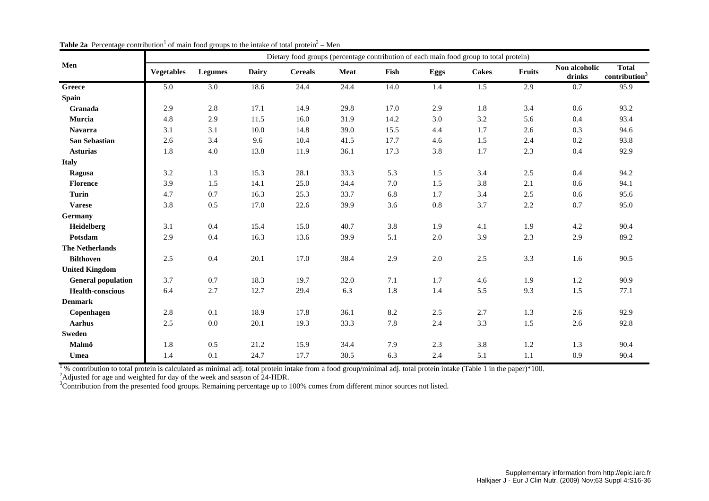|                           |                   |                |       | Dietary food groups (percentage contribution of each main food group to total protein) |             |      |      |              |         |                         |                                           |
|---------------------------|-------------------|----------------|-------|----------------------------------------------------------------------------------------|-------------|------|------|--------------|---------|-------------------------|-------------------------------------------|
| Men                       | <b>Vegetables</b> | <b>Legumes</b> | Dairy | <b>Cereals</b>                                                                         | <b>Meat</b> | Fish | Eggs | <b>Cakes</b> | Fruits  | Non alcoholic<br>drinks | <b>Total</b><br>contribution <sup>3</sup> |
| Greece                    | 5.0               | 3.0            | 18.6  | 24.4                                                                                   | 24.4        | 14.0 | 1.4  | 1.5          | 2.9     | 0.7                     | 95.9                                      |
| <b>Spain</b>              |                   |                |       |                                                                                        |             |      |      |              |         |                         |                                           |
| Granada                   | 2.9               | 2.8            | 17.1  | 14.9                                                                                   | 29.8        | 17.0 | 2.9  | 1.8          | 3.4     | 0.6                     | 93.2                                      |
| Murcia                    | 4.8               | 2.9            | 11.5  | 16.0                                                                                   | 31.9        | 14.2 | 3.0  | 3.2          | 5.6     | 0.4                     | 93.4                                      |
| <b>Navarra</b>            | 3.1               | 3.1            | 10.0  | 14.8                                                                                   | 39.0        | 15.5 | 4.4  | 1.7          | 2.6     | 0.3                     | 94.6                                      |
| <b>San Sebastian</b>      | 2.6               | 3.4            | 9.6   | 10.4                                                                                   | 41.5        | 17.7 | 4.6  | 1.5          | 2.4     | 0.2                     | 93.8                                      |
| <b>Asturias</b>           | 1.8               | 4.0            | 13.8  | 11.9                                                                                   | 36.1        | 17.3 | 3.8  | 1.7          | 2.3     | 0.4                     | 92.9                                      |
| <b>Italy</b>              |                   |                |       |                                                                                        |             |      |      |              |         |                         |                                           |
| Ragusa                    | 3.2               | 1.3            | 15.3  | 28.1                                                                                   | 33.3        | 5.3  | 1.5  | 3.4          | 2.5     | 0.4                     | 94.2                                      |
| <b>Florence</b>           | 3.9               | 1.5            | 14.1  | 25.0                                                                                   | 34.4        | 7.0  | 1.5  | 3.8          | 2.1     | 0.6                     | 94.1                                      |
| <b>Turin</b>              | 4.7               | 0.7            | 16.3  | 25.3                                                                                   | 33.7        | 6.8  | 1.7  | 3.4          | 2.5     | 0.6                     | 95.6                                      |
| <b>Varese</b>             | 3.8               | 0.5            | 17.0  | 22.6                                                                                   | 39.9        | 3.6  | 0.8  | 3.7          | $2.2\,$ | 0.7                     | 95.0                                      |
| Germany                   |                   |                |       |                                                                                        |             |      |      |              |         |                         |                                           |
| Heidelberg                | 3.1               | 0.4            | 15.4  | 15.0                                                                                   | 40.7        | 3.8  | 1.9  | 4.1          | 1.9     | 4.2                     | 90.4                                      |
| Potsdam                   | 2.9               | 0.4            | 16.3  | 13.6                                                                                   | 39.9        | 5.1  | 2.0  | 3.9          | 2.3     | 2.9                     | 89.2                                      |
| <b>The Netherlands</b>    |                   |                |       |                                                                                        |             |      |      |              |         |                         |                                           |
| <b>Bilthoven</b>          | 2.5               | 0.4            | 20.1  | 17.0                                                                                   | 38.4        | 2.9  | 2.0  | 2.5          | 3.3     | 1.6                     | 90.5                                      |
| <b>United Kingdom</b>     |                   |                |       |                                                                                        |             |      |      |              |         |                         |                                           |
| <b>General population</b> | 3.7               | 0.7            | 18.3  | 19.7                                                                                   | 32.0        | 7.1  | 1.7  | 4.6          | 1.9     | 1.2                     | 90.9                                      |
| <b>Health-conscious</b>   | 6.4               | 2.7            | 12.7  | 29.4                                                                                   | 6.3         | 1.8  | 1.4  | 5.5          | 9.3     | 1.5                     | 77.1                                      |
| <b>Denmark</b>            |                   |                |       |                                                                                        |             |      |      |              |         |                         |                                           |
| Copenhagen                | 2.8               | 0.1            | 18.9  | 17.8                                                                                   | 36.1        | 8.2  | 2.5  | 2.7          | 1.3     | 2.6                     | 92.9                                      |
| <b>Aarhus</b>             | $2.5\,$           | 0.0            | 20.1  | 19.3                                                                                   | 33.3        | 7.8  | 2.4  | 3.3          | 1.5     | 2.6                     | 92.8                                      |
| <b>Sweden</b>             |                   |                |       |                                                                                        |             |      |      |              |         |                         |                                           |
| Malmö                     | 1.8               | 0.5            | 21.2  | 15.9                                                                                   | 34.4        | 7.9  | 2.3  | 3.8          | 1.2     | 1.3                     | 90.4                                      |
| Umea                      | 1.4               | 0.1            | 24.7  | 17.7                                                                                   | 30.5        | 6.3  | 2.4  | 5.1          | 1.1     | 0.9                     | 90.4                                      |

**Table 2a** Percentage contribution<sup>1</sup> of main food groups to the intake of total protein<sup>2</sup> – Men

 $1\%$  contribution to total protein is calculated as minimal adj. total protein intake from a food group/minimal adj. total protein intake (Table 1 in the paper)\*100.

<sup>2</sup>Adjusted for age and weighted for day of the week and season of  $24$ -HDR.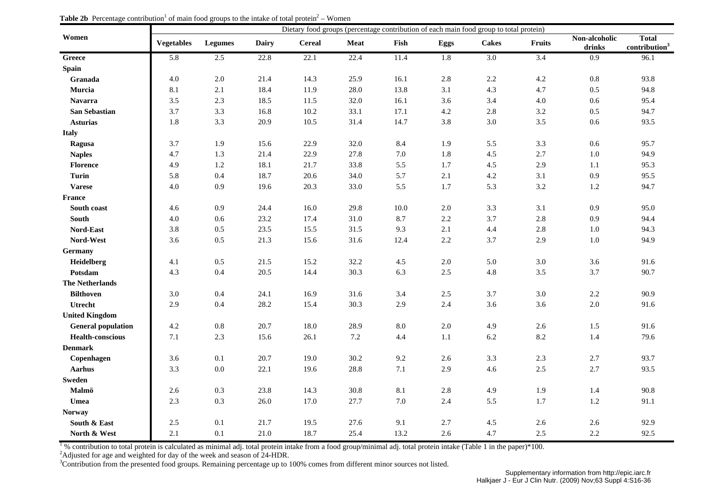|                           |                   |                |              |               |         |          |         | Dietary food groups (percentage contribution of each main food group to total protein) |               |                         |                                           |
|---------------------------|-------------------|----------------|--------------|---------------|---------|----------|---------|----------------------------------------------------------------------------------------|---------------|-------------------------|-------------------------------------------|
| Women                     | <b>Vegetables</b> | <b>Legumes</b> | <b>Dairy</b> | <b>Cereal</b> | Meat    | Fish     | Eggs    | <b>Cakes</b>                                                                           | <b>Fruits</b> | Non-alcoholic<br>drinks | <b>Total</b><br>contribution <sup>3</sup> |
| Greece                    | 5.8               | 2.5            | 22.8         | 22.1          | 22.4    | 11.4     | 1.8     | $3.0\,$                                                                                | 3.4           | 0.9                     | 96.1                                      |
| <b>Spain</b>              |                   |                |              |               |         |          |         |                                                                                        |               |                         |                                           |
| Granada                   | 4.0               | $2.0$          | 21.4         | 14.3          | 25.9    | 16.1     | 2.8     | 2.2                                                                                    | 4.2           | 0.8                     | 93.8                                      |
| Murcia                    | 8.1               | 2.1            | 18.4         | 11.9          | 28.0    | 13.8     | 3.1     | 4.3                                                                                    | 4.7           | 0.5                     | 94.8                                      |
| <b>Navarra</b>            | 3.5               | 2.3            | 18.5         | 11.5          | 32.0    | 16.1     | 3.6     | 3.4                                                                                    | 4.0           | 0.6                     | 95.4                                      |
| San Sebastian             | 3.7               | 3.3            | 16.8         | 10.2          | 33.1    | 17.1     | 4.2     | 2.8                                                                                    | $3.2\,$       | 0.5                     | 94.7                                      |
| <b>Asturias</b>           | 1.8               | 3.3            | 20.9         | 10.5          | 31.4    | 14.7     | 3.8     | 3.0                                                                                    | 3.5           | $0.6\,$                 | 93.5                                      |
| <b>Italy</b>              |                   |                |              |               |         |          |         |                                                                                        |               |                         |                                           |
| Ragusa                    | 3.7               | 1.9            | 15.6         | 22.9          | 32.0    | 8.4      | 1.9     | 5.5                                                                                    | 3.3           | 0.6                     | 95.7                                      |
| <b>Naples</b>             | 4.7               | 1.3            | 21.4         | 22.9          | 27.8    | $7.0\,$  | 1.8     | 4.5                                                                                    | 2.7           | $1.0\,$                 | 94.9                                      |
| <b>Florence</b>           | 4.9               | 1.2            | 18.1         | 21.7          | 33.8    | 5.5      | 1.7     | 4.5                                                                                    | 2.9           | 1.1                     | 95.3                                      |
| <b>Turin</b>              | 5.8               | 0.4            | 18.7         | 20.6          | 34.0    | 5.7      | 2.1     | 4.2                                                                                    | 3.1           | 0.9                     | 95.5                                      |
| <b>Varese</b>             | 4.0               | 0.9            | 19.6         | 20.3          | 33.0    | 5.5      | $1.7\,$ | 5.3                                                                                    | 3.2           | $1.2\,$                 | 94.7                                      |
| <b>France</b>             |                   |                |              |               |         |          |         |                                                                                        |               |                         |                                           |
| South coast               | 4.6               | 0.9            | 24.4         | 16.0          | 29.8    | $10.0\,$ | $2.0\,$ | 3.3                                                                                    | 3.1           | 0.9                     | 95.0                                      |
| <b>South</b>              | 4.0               | $0.6\,$        | 23.2         | 17.4          | 31.0    | 8.7      | 2.2     | 3.7                                                                                    | 2.8           | 0.9                     | 94.4                                      |
| Nord-East                 | 3.8               | $0.5\,$        | 23.5         | 15.5          | 31.5    | 9.3      | 2.1     | 4.4                                                                                    | 2.8           | $1.0\,$                 | 94.3                                      |
| Nord-West                 | 3.6               | 0.5            | 21.3         | 15.6          | 31.6    | 12.4     | 2.2     | 3.7                                                                                    | 2.9           | $1.0\,$                 | 94.9                                      |
| <b>Germany</b>            |                   |                |              |               |         |          |         |                                                                                        |               |                         |                                           |
| Heidelberg                | 4.1               | $0.5\,$        | 21.5         | 15.2          | 32.2    | $4.5\,$  | $2.0\,$ | 5.0                                                                                    | 3.0           | 3.6                     | 91.6                                      |
| Potsdam                   | 4.3               | 0.4            | 20.5         | 14.4          | 30.3    | 6.3      | 2.5     | 4.8                                                                                    | 3.5           | 3.7                     | 90.7                                      |
| <b>The Netherlands</b>    |                   |                |              |               |         |          |         |                                                                                        |               |                         |                                           |
| <b>Bilthoven</b>          | 3.0               | 0.4            | 24.1         | 16.9          | 31.6    | 3.4      | 2.5     | 3.7                                                                                    | 3.0           | 2.2                     | 90.9                                      |
| Utrecht                   | 2.9               | 0.4            | 28.2         | 15.4          | 30.3    | 2.9      | 2.4     | 3.6                                                                                    | 3.6           | $2.0\,$                 | 91.6                                      |
| <b>United Kingdom</b>     |                   |                |              |               |         |          |         |                                                                                        |               |                         |                                           |
| <b>General population</b> | 4.2               | $0.8\,$        | 20.7         | 18.0          | 28.9    | 8.0      | $2.0\,$ | 4.9                                                                                    | 2.6           | 1.5                     | 91.6                                      |
| <b>Health-conscious</b>   | 7.1               | 2.3            | 15.6         | 26.1          | $7.2\,$ | 4.4      | $1.1\,$ | 6.2                                                                                    | 8.2           | 1.4                     | 79.6                                      |
| <b>Denmark</b>            |                   |                |              |               |         |          |         |                                                                                        |               |                         |                                           |
| Copenhagen                | 3.6               | 0.1            | 20.7         | 19.0          | 30.2    | 9.2      | $2.6\,$ | 3.3                                                                                    | 2.3           | 2.7                     | 93.7                                      |
| <b>Aarhus</b>             | 3.3               | $0.0\,$        | 22.1         | 19.6          | 28.8    | $7.1\,$  | 2.9     | 4.6                                                                                    | 2.5           | 2.7                     | 93.5                                      |
| <b>Sweden</b>             |                   |                |              |               |         |          |         |                                                                                        |               |                         |                                           |
| Malmö                     | 2.6               | 0.3            | 23.8         | 14.3          | 30.8    | 8.1      | 2.8     | 4.9                                                                                    | 1.9           | 1.4                     | 90.8                                      |
| Umea                      | 2.3               | 0.3            | 26.0         | 17.0          | 27.7    | 7.0      | 2.4     | 5.5                                                                                    | 1.7           | $1.2\,$                 | 91.1                                      |
| <b>Norway</b>             |                   |                |              |               |         |          |         |                                                                                        |               |                         |                                           |
| South & East              | $2.5\,$           | 0.1            | 21.7         | 19.5          | 27.6    | 9.1      | 2.7     | 4.5                                                                                    | 2.6           | 2.6                     | 92.9                                      |
| North & West              | 2.1               | 0.1            | 21.0         | 18.7          | 25.4    | 13.2     | 2.6     | 4.7                                                                                    | 2.5           | 2.2                     | 92.5                                      |

**Table 2b** Percentage contribution<sup>1</sup> of main food groups to the intake of total protein<sup>2</sup> – Women

 $1\%$  contribution to total protein is calculated as minimal adj. total protein intake from a food group/minimal adj. total protein intake (Table 1 in the paper)\*100.

<sup>2</sup>Adjusted for age and weighted for day of the week and season of 24-HDR.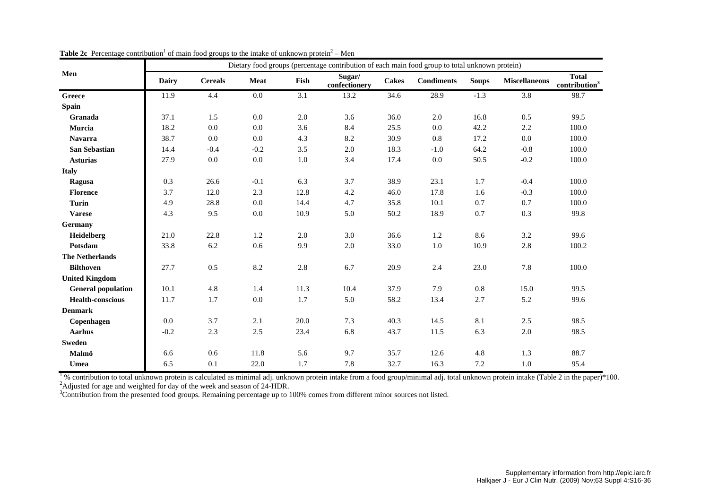|                           |              |                |             |         | Dietary food groups (percentage contribution of each main food group to total unknown protein) |              |                   |              |                      |                                           |
|---------------------------|--------------|----------------|-------------|---------|------------------------------------------------------------------------------------------------|--------------|-------------------|--------------|----------------------|-------------------------------------------|
| Men                       | <b>Dairy</b> | <b>Cereals</b> | <b>Meat</b> | Fish    | Sugar/<br>confectionery                                                                        | <b>Cakes</b> | <b>Condiments</b> | <b>Soups</b> | <b>Miscellaneous</b> | <b>Total</b><br>contribution <sup>3</sup> |
| Greece                    | 11.9         | 4.4            | $0.0\,$     | 3.1     | 13.2                                                                                           | 34.6         | 28.9              | $-1.3$       | 3.8                  | 98.7                                      |
| Spain                     |              |                |             |         |                                                                                                |              |                   |              |                      |                                           |
| Granada                   | 37.1         | 1.5            | 0.0         | 2.0     | 3.6                                                                                            | 36.0         | 2.0               | 16.8         | 0.5                  | 99.5                                      |
| Murcia                    | 18.2         | 0.0            | 0.0         | 3.6     | 8.4                                                                                            | 25.5         | 0.0               | 42.2         | 2.2                  | 100.0                                     |
| <b>Navarra</b>            | 38.7         | 0.0            | 0.0         | 4.3     | 8.2                                                                                            | 30.9         | $0.8\,$           | 17.2         | 0.0                  | 100.0                                     |
| <b>San Sebastian</b>      | 14.4         | $-0.4$         | $-0.2$      | 3.5     | $2.0\,$                                                                                        | 18.3         | $-1.0$            | 64.2         | $-0.8$               | 100.0                                     |
| <b>Asturias</b>           | 27.9         | $0.0\,$        | 0.0         | $1.0\,$ | 3.4                                                                                            | 17.4         | $0.0\,$           | 50.5         | $-0.2$               | 100.0                                     |
| <b>Italy</b>              |              |                |             |         |                                                                                                |              |                   |              |                      |                                           |
| Ragusa                    | 0.3          | 26.6           | $-0.1$      | 6.3     | 3.7                                                                                            | 38.9         | 23.1              | 1.7          | $-0.4$               | 100.0                                     |
| <b>Florence</b>           | 3.7          | 12.0           | 2.3         | 12.8    | 4.2                                                                                            | 46.0         | 17.8              | 1.6          | $-0.3$               | 100.0                                     |
| <b>Turin</b>              | 4.9          | 28.8           | 0.0         | 14.4    | 4.7                                                                                            | 35.8         | 10.1              | 0.7          | 0.7                  | 100.0                                     |
| <b>Varese</b>             | 4.3          | 9.5            | 0.0         | 10.9    | 5.0                                                                                            | 50.2         | 18.9              | 0.7          | 0.3                  | 99.8                                      |
| Germany                   |              |                |             |         |                                                                                                |              |                   |              |                      |                                           |
| Heidelberg                | 21.0         | 22.8           | 1.2         | 2.0     | 3.0                                                                                            | 36.6         | 1.2               | 8.6          | 3.2                  | 99.6                                      |
| Potsdam                   | 33.8         | 6.2            | 0.6         | 9.9     | $2.0\,$                                                                                        | 33.0         | 1.0               | 10.9         | 2.8                  | 100.2                                     |
| <b>The Netherlands</b>    |              |                |             |         |                                                                                                |              |                   |              |                      |                                           |
| <b>Bilthoven</b>          | 27.7         | 0.5            | 8.2         | 2.8     | 6.7                                                                                            | 20.9         | 2.4               | 23.0         | 7.8                  | 100.0                                     |
| <b>United Kingdom</b>     |              |                |             |         |                                                                                                |              |                   |              |                      |                                           |
| <b>General population</b> | 10.1         | 4.8            | 1.4         | 11.3    | 10.4                                                                                           | 37.9         | 7.9               | 0.8          | 15.0                 | 99.5                                      |
| <b>Health-conscious</b>   | 11.7         | 1.7            | $0.0\,$     | 1.7     | 5.0                                                                                            | 58.2         | 13.4              | 2.7          | 5.2                  | 99.6                                      |
| <b>Denmark</b>            |              |                |             |         |                                                                                                |              |                   |              |                      |                                           |
| Copenhagen                | 0.0          | 3.7            | 2.1         | 20.0    | 7.3                                                                                            | 40.3         | 14.5              | 8.1          | 2.5                  | 98.5                                      |
| <b>Aarhus</b>             | $-0.2$       | 2.3            | 2.5         | 23.4    | 6.8                                                                                            | 43.7         | 11.5              | 6.3          | $2.0\,$              | 98.5                                      |
| <b>Sweden</b>             |              |                |             |         |                                                                                                |              |                   |              |                      |                                           |
| Malmö                     | 6.6          | 0.6            | 11.8        | 5.6     | 9.7                                                                                            | 35.7         | 12.6              | 4.8          | 1.3                  | 88.7                                      |
| Umea                      | 6.5          | 0.1            | 22.0        | 1.7     | 7.8                                                                                            | 32.7         | 16.3              | 7.2          | 1.0                  | 95.4                                      |

**Table 2c** Percentage contribution<sup>1</sup> of main food groups to the intake of unknown protein<sup>2</sup> – Men

 $1\%$  contribution to total unknown protein is calculated as minimal adj. unknown protein intake from a food group/minimal adj. total unknown protein intake (Table 2 in the paper)\*100. <sup>2</sup>Adjusted for age and weighted for day of the week and season of 24-HDR.